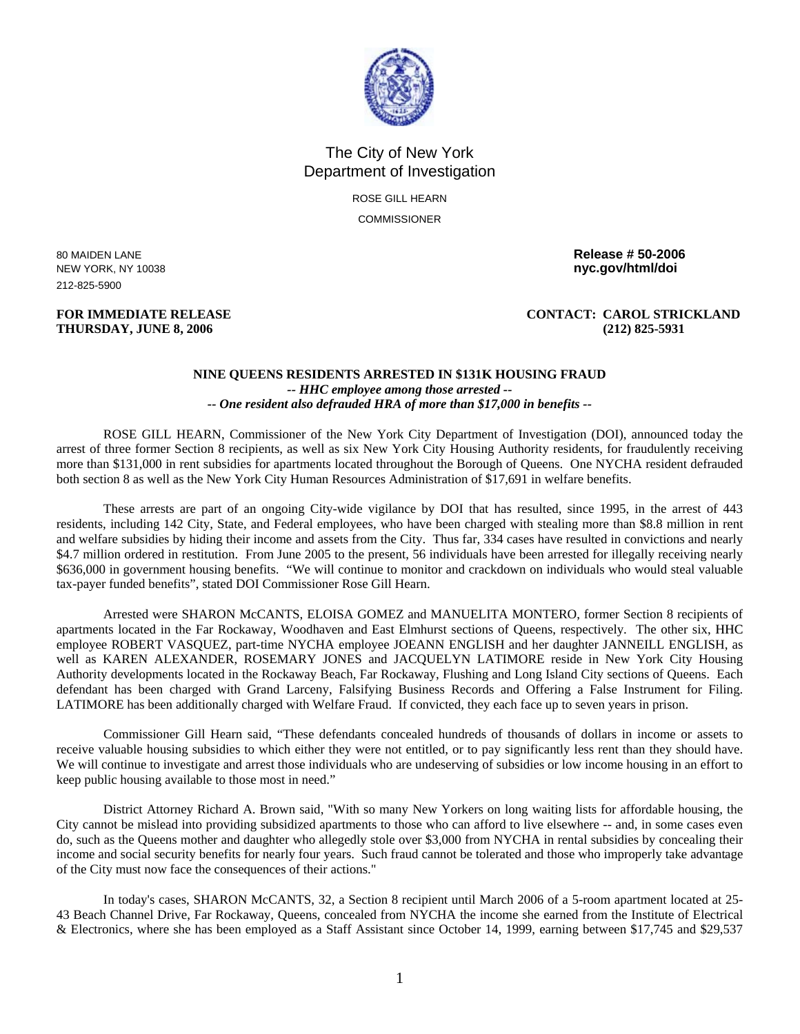

## The City of New York Department of Investigation

ROSE GILL HEARN **COMMISSIONER** 

NEW YORK, NY 10038 **nyc.gov/html/doi**  212-825-5900

## **THURSDAY, JUNE 8, 2006 (212) 825-5931**

80 MAIDEN LANE **Release # 50-2006** 

## **FOR IMMEDIATE RELEASE CONTACT: CAROL STRICKLAND**

## **NINE QUEENS RESIDENTS ARRESTED IN \$131K HOUSING FRAUD**  *-- HHC employee among those arrested -- -- One resident also defrauded HRA of more than \$17,000 in benefits --*

ROSE GILL HEARN, Commissioner of the New York City Department of Investigation (DOI), announced today the arrest of three former Section 8 recipients, as well as six New York City Housing Authority residents, for fraudulently receiving more than \$131,000 in rent subsidies for apartments located throughout the Borough of Queens. One NYCHA resident defrauded both section 8 as well as the New York City Human Resources Administration of \$17,691 in welfare benefits.

These arrests are part of an ongoing City-wide vigilance by DOI that has resulted, since 1995, in the arrest of 443 residents, including 142 City, State, and Federal employees, who have been charged with stealing more than \$8.8 million in rent and welfare subsidies by hiding their income and assets from the City. Thus far, 334 cases have resulted in convictions and nearly \$4.7 million ordered in restitution. From June 2005 to the present, 56 individuals have been arrested for illegally receiving nearly \$636,000 in government housing benefits. "We will continue to monitor and crackdown on individuals who would steal valuable tax-payer funded benefits", stated DOI Commissioner Rose Gill Hearn.

Arrested were SHARON McCANTS, ELOISA GOMEZ and MANUELITA MONTERO, former Section 8 recipients of apartments located in the Far Rockaway, Woodhaven and East Elmhurst sections of Queens, respectively. The other six, HHC employee ROBERT VASQUEZ, part-time NYCHA employee JOEANN ENGLISH and her daughter JANNEILL ENGLISH, as well as KAREN ALEXANDER, ROSEMARY JONES and JACQUELYN LATIMORE reside in New York City Housing Authority developments located in the Rockaway Beach, Far Rockaway, Flushing and Long Island City sections of Queens. Each defendant has been charged with Grand Larceny, Falsifying Business Records and Offering a False Instrument for Filing. LATIMORE has been additionally charged with Welfare Fraud. If convicted, they each face up to seven years in prison.

Commissioner Gill Hearn said, "These defendants concealed hundreds of thousands of dollars in income or assets to receive valuable housing subsidies to which either they were not entitled, or to pay significantly less rent than they should have. We will continue to investigate and arrest those individuals who are undeserving of subsidies or low income housing in an effort to keep public housing available to those most in need."

District Attorney Richard A. Brown said, "With so many New Yorkers on long waiting lists for affordable housing, the City cannot be mislead into providing subsidized apartments to those who can afford to live elsewhere -- and, in some cases even do, such as the Queens mother and daughter who allegedly stole over \$3,000 from NYCHA in rental subsidies by concealing their income and social security benefits for nearly four years. Such fraud cannot be tolerated and those who improperly take advantage of the City must now face the consequences of their actions."

In today's cases, SHARON McCANTS, 32, a Section 8 recipient until March 2006 of a 5-room apartment located at 25- 43 Beach Channel Drive, Far Rockaway, Queens, concealed from NYCHA the income she earned from the Institute of Electrical & Electronics, where she has been employed as a Staff Assistant since October 14, 1999, earning between \$17,745 and \$29,537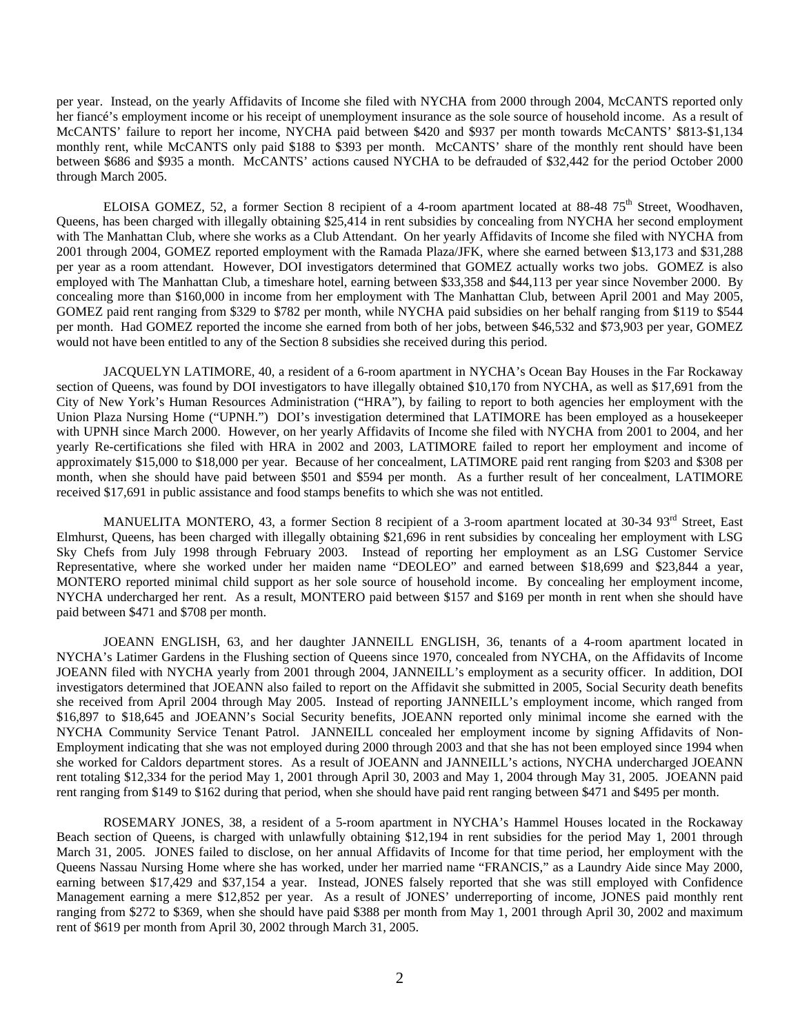per year. Instead, on the yearly Affidavits of Income she filed with NYCHA from 2000 through 2004, McCANTS reported only her fiancé's employment income or his receipt of unemployment insurance as the sole source of household income. As a result of McCANTS' failure to report her income, NYCHA paid between \$420 and \$937 per month towards McCANTS' \$813-\$1,134 monthly rent, while McCANTS only paid \$188 to \$393 per month. McCANTS' share of the monthly rent should have been between \$686 and \$935 a month. McCANTS' actions caused NYCHA to be defrauded of \$32,442 for the period October 2000 through March 2005.

ELOISA GOMEZ, 52, a former Section 8 recipient of a 4-room apartment located at 88-48 75<sup>th</sup> Street, Woodhaven, Queens, has been charged with illegally obtaining \$25,414 in rent subsidies by concealing from NYCHA her second employment with The Manhattan Club, where she works as a Club Attendant. On her yearly Affidavits of Income she filed with NYCHA from 2001 through 2004, GOMEZ reported employment with the Ramada Plaza/JFK, where she earned between \$13,173 and \$31,288 per year as a room attendant. However, DOI investigators determined that GOMEZ actually works two jobs. GOMEZ is also employed with The Manhattan Club, a timeshare hotel, earning between \$33,358 and \$44,113 per year since November 2000. By concealing more than \$160,000 in income from her employment with The Manhattan Club, between April 2001 and May 2005, GOMEZ paid rent ranging from \$329 to \$782 per month, while NYCHA paid subsidies on her behalf ranging from \$119 to \$544 per month. Had GOMEZ reported the income she earned from both of her jobs, between \$46,532 and \$73,903 per year, GOMEZ would not have been entitled to any of the Section 8 subsidies she received during this period.

JACQUELYN LATIMORE, 40, a resident of a 6-room apartment in NYCHA's Ocean Bay Houses in the Far Rockaway section of Queens, was found by DOI investigators to have illegally obtained \$10,170 from NYCHA, as well as \$17,691 from the City of New York's Human Resources Administration ("HRA"), by failing to report to both agencies her employment with the Union Plaza Nursing Home ("UPNH.") DOI's investigation determined that LATIMORE has been employed as a housekeeper with UPNH since March 2000. However, on her yearly Affidavits of Income she filed with NYCHA from 2001 to 2004, and her yearly Re-certifications she filed with HRA in 2002 and 2003, LATIMORE failed to report her employment and income of approximately \$15,000 to \$18,000 per year. Because of her concealment, LATIMORE paid rent ranging from \$203 and \$308 per month, when she should have paid between \$501 and \$594 per month. As a further result of her concealment, LATIMORE received \$17,691 in public assistance and food stamps benefits to which she was not entitled.

MANUELITA MONTERO, 43, a former Section 8 recipient of a 3-room apartment located at 30-34 93<sup>rd</sup> Street, East Elmhurst, Queens, has been charged with illegally obtaining \$21,696 in rent subsidies by concealing her employment with LSG Sky Chefs from July 1998 through February 2003. Instead of reporting her employment as an LSG Customer Service Representative, where she worked under her maiden name "DEOLEO" and earned between \$18,699 and \$23,844 a year, MONTERO reported minimal child support as her sole source of household income. By concealing her employment income, NYCHA undercharged her rent. As a result, MONTERO paid between \$157 and \$169 per month in rent when she should have paid between \$471 and \$708 per month.

JOEANN ENGLISH, 63, and her daughter JANNEILL ENGLISH, 36, tenants of a 4-room apartment located in NYCHA's Latimer Gardens in the Flushing section of Queens since 1970, concealed from NYCHA, on the Affidavits of Income JOEANN filed with NYCHA yearly from 2001 through 2004, JANNEILL's employment as a security officer. In addition, DOI investigators determined that JOEANN also failed to report on the Affidavit she submitted in 2005, Social Security death benefits she received from April 2004 through May 2005. Instead of reporting JANNEILL's employment income, which ranged from \$16,897 to \$18,645 and JOEANN's Social Security benefits, JOEANN reported only minimal income she earned with the NYCHA Community Service Tenant Patrol. JANNEILL concealed her employment income by signing Affidavits of Non-Employment indicating that she was not employed during 2000 through 2003 and that she has not been employed since 1994 when she worked for Caldors department stores. As a result of JOEANN and JANNEILL's actions, NYCHA undercharged JOEANN rent totaling \$12,334 for the period May 1, 2001 through April 30, 2003 and May 1, 2004 through May 31, 2005. JOEANN paid rent ranging from \$149 to \$162 during that period, when she should have paid rent ranging between \$471 and \$495 per month.

ROSEMARY JONES, 38, a resident of a 5-room apartment in NYCHA's Hammel Houses located in the Rockaway Beach section of Queens, is charged with unlawfully obtaining \$12,194 in rent subsidies for the period May 1, 2001 through March 31, 2005. JONES failed to disclose, on her annual Affidavits of Income for that time period, her employment with the Queens Nassau Nursing Home where she has worked, under her married name "FRANCIS," as a Laundry Aide since May 2000, earning between \$17,429 and \$37,154 a year. Instead, JONES falsely reported that she was still employed with Confidence Management earning a mere \$12,852 per year. As a result of JONES' underreporting of income, JONES paid monthly rent ranging from \$272 to \$369, when she should have paid \$388 per month from May 1, 2001 through April 30, 2002 and maximum rent of \$619 per month from April 30, 2002 through March 31, 2005.